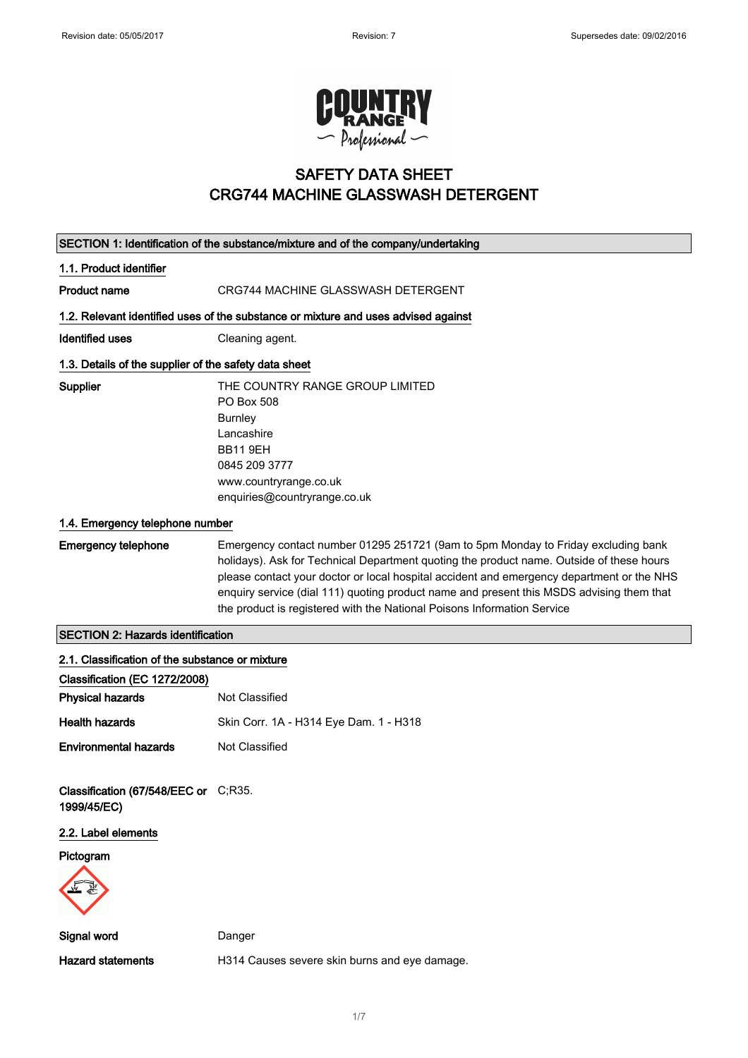

# SAFETY DATA SHEET CRG744 MACHINE GLASSWASH DETERGENT

| SECTION 1: Identification of the substance/mixture and of the company/undertaking |                                                                                                                                                                                                                                                                                                                                                                                                                                                   |  |
|-----------------------------------------------------------------------------------|---------------------------------------------------------------------------------------------------------------------------------------------------------------------------------------------------------------------------------------------------------------------------------------------------------------------------------------------------------------------------------------------------------------------------------------------------|--|
| 1.1. Product identifier                                                           |                                                                                                                                                                                                                                                                                                                                                                                                                                                   |  |
| <b>Product name</b>                                                               | CRG744 MACHINE GLASSWASH DETERGENT                                                                                                                                                                                                                                                                                                                                                                                                                |  |
|                                                                                   | 1.2. Relevant identified uses of the substance or mixture and uses advised against                                                                                                                                                                                                                                                                                                                                                                |  |
| <b>Identified uses</b>                                                            | Cleaning agent.                                                                                                                                                                                                                                                                                                                                                                                                                                   |  |
| 1.3. Details of the supplier of the safety data sheet                             |                                                                                                                                                                                                                                                                                                                                                                                                                                                   |  |
| Supplier                                                                          | THE COUNTRY RANGE GROUP LIMITED<br>PO Box 508<br><b>Burnley</b><br>Lancashire<br><b>BB11 9EH</b><br>0845 209 3777<br>www.countryrange.co.uk<br>enquiries@countryrange.co.uk                                                                                                                                                                                                                                                                       |  |
| 1.4. Emergency telephone number                                                   |                                                                                                                                                                                                                                                                                                                                                                                                                                                   |  |
| <b>Emergency telephone</b>                                                        | Emergency contact number 01295 251721 (9am to 5pm Monday to Friday excluding bank<br>holidays). Ask for Technical Department quoting the product name. Outside of these hours<br>please contact your doctor or local hospital accident and emergency department or the NHS<br>enquiry service (dial 111) quoting product name and present this MSDS advising them that<br>the product is registered with the National Poisons Information Service |  |
| <b>SECTION 2: Hazards identification</b>                                          |                                                                                                                                                                                                                                                                                                                                                                                                                                                   |  |
| 2.1. Classification of the substance or mixture                                   |                                                                                                                                                                                                                                                                                                                                                                                                                                                   |  |
| Classification (EC 1272/2008)                                                     |                                                                                                                                                                                                                                                                                                                                                                                                                                                   |  |
| <b>Physical hazards</b>                                                           | Not Classified                                                                                                                                                                                                                                                                                                                                                                                                                                    |  |
| <b>Health hazards</b>                                                             | Skin Corr. 1A - H314 Eye Dam. 1 - H318                                                                                                                                                                                                                                                                                                                                                                                                            |  |
| <b>Environmental hazards</b>                                                      | Not Classified                                                                                                                                                                                                                                                                                                                                                                                                                                    |  |
| Classification (67/548/EEC or C;R35.<br>1999/45/EC)                               |                                                                                                                                                                                                                                                                                                                                                                                                                                                   |  |
| 2.2. Label elements                                                               |                                                                                                                                                                                                                                                                                                                                                                                                                                                   |  |
| Pictogram                                                                         |                                                                                                                                                                                                                                                                                                                                                                                                                                                   |  |
| Signal word                                                                       | Danger                                                                                                                                                                                                                                                                                                                                                                                                                                            |  |
| <b>Hazard statements</b>                                                          | H314 Causes severe skin burns and eye damage.                                                                                                                                                                                                                                                                                                                                                                                                     |  |

1/ 7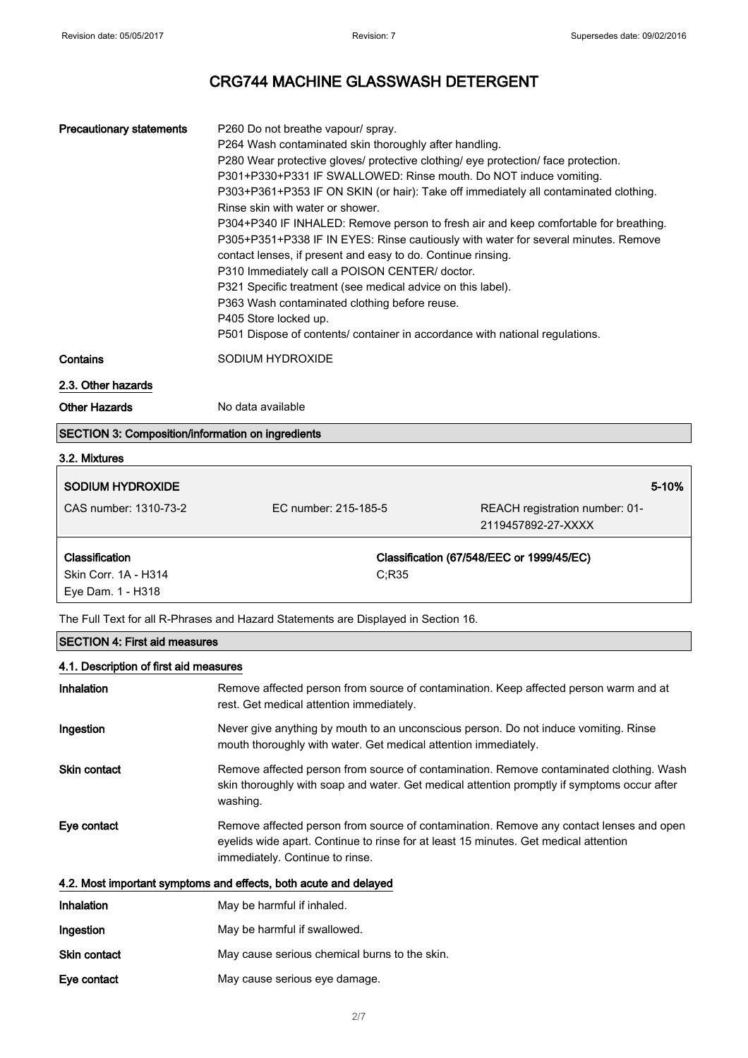| <b>Precautionary statements</b> | P260 Do not breathe vapour/ spray.<br>P264 Wash contaminated skin thoroughly after handling.<br>P280 Wear protective gloves/ protective clothing/ eye protection/ face protection.<br>P301+P330+P331 IF SWALLOWED: Rinse mouth. Do NOT induce vomiting.<br>P303+P361+P353 IF ON SKIN (or hair): Take off immediately all contaminated clothing.<br>Rinse skin with water or shower.<br>P304+P340 IF INHALED: Remove person to fresh air and keep comfortable for breathing.<br>P305+P351+P338 IF IN EYES: Rinse cautiously with water for several minutes. Remove<br>contact lenses, if present and easy to do. Continue rinsing.<br>P310 Immediately call a POISON CENTER/ doctor.<br>P321 Specific treatment (see medical advice on this label).<br>P363 Wash contaminated clothing before reuse.<br>P405 Store locked up.<br>P501 Dispose of contents/ container in accordance with national regulations. |
|---------------------------------|--------------------------------------------------------------------------------------------------------------------------------------------------------------------------------------------------------------------------------------------------------------------------------------------------------------------------------------------------------------------------------------------------------------------------------------------------------------------------------------------------------------------------------------------------------------------------------------------------------------------------------------------------------------------------------------------------------------------------------------------------------------------------------------------------------------------------------------------------------------------------------------------------------------|
| Contains                        | SODIUM HYDROXIDE                                                                                                                                                                                                                                                                                                                                                                                                                                                                                                                                                                                                                                                                                                                                                                                                                                                                                             |
| 2.3. Other hazards              |                                                                                                                                                                                                                                                                                                                                                                                                                                                                                                                                                                                                                                                                                                                                                                                                                                                                                                              |

Other Hazards No data available

#### SECTION 3: Composition/information on ingredients

| 3.2. Mixtures                             |                      |                                                      |
|-------------------------------------------|----------------------|------------------------------------------------------|
| SODIUM HYDROXIDE                          |                      | 5-10%                                                |
| CAS number: 1310-73-2                     | EC number: 215-185-5 | REACH registration number: 01-<br>2119457892-27-XXXX |
| <b>Classification</b>                     |                      | Classification (67/548/EEC or 1999/45/EC)            |
| Skin Corr. 1A - H314<br>Eye Dam. 1 - H318 | C:R35                |                                                      |

The Full Text for all R-Phrases and Hazard Statements are Displayed in Section 16.

## SECTION 4: First aid measures

# 4.1. Description of first aid measures Inhalation Remove affected person from source of contamination. Keep affected person warm and at rest. Get medical attention immediately. Ingestion Never give anything by mouth to an unconscious person. Do not induce vomiting. Rinse mouth thoroughly with water. Get medical attention immediately. Skin contact **Remove affected person from source of contamination**. Remove contaminated clothing. Wash skin thoroughly with soap and water. Get medical attention promptly if symptoms occur after washing. Eye contact Remove affected person from source of contamination. Remove any contact lenses and open eyelids wide apart. Continue to rinse for at least 15 minutes. Get medical attention immediately. Continue to rinse. 4.2. Most important symptoms and effects, both acute and delayed Inhalation May be harmful if inhaled. Ingestion May be harmful if swallowed. Skin contact May cause serious chemical burns to the skin. Eye contact May cause serious eye damage.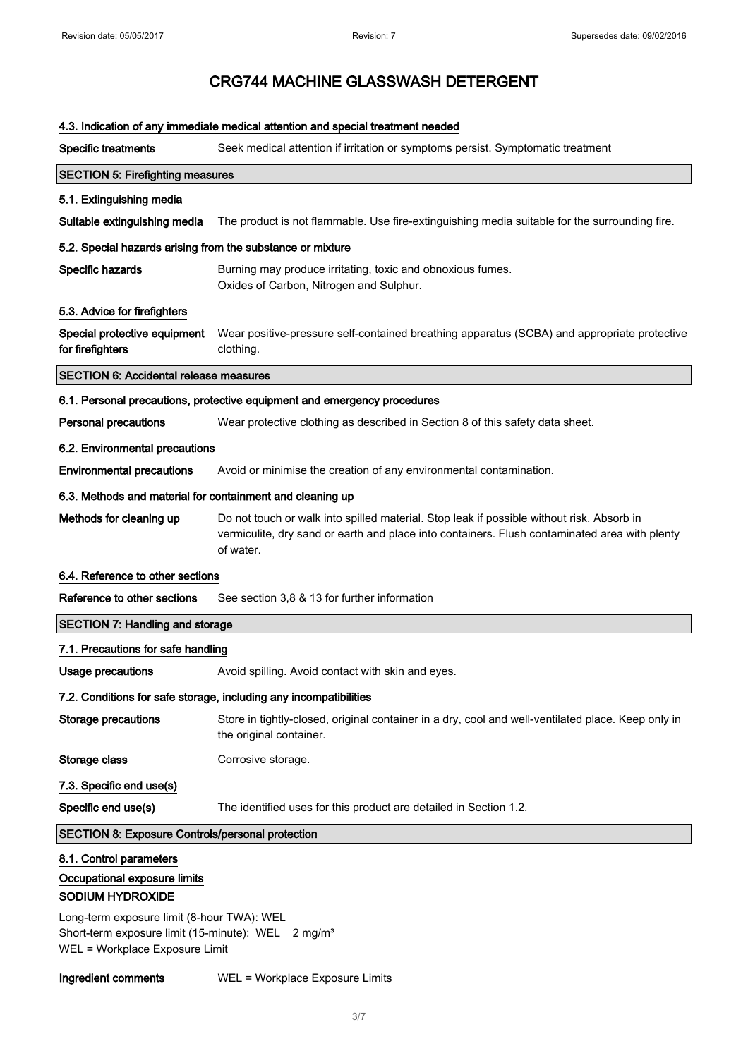| 4.3. Indication of any immediate medical attention and special treatment needed                                                                |                                                                                                                                                                                                         |  |
|------------------------------------------------------------------------------------------------------------------------------------------------|---------------------------------------------------------------------------------------------------------------------------------------------------------------------------------------------------------|--|
| <b>Specific treatments</b>                                                                                                                     | Seek medical attention if irritation or symptoms persist. Symptomatic treatment                                                                                                                         |  |
| <b>SECTION 5: Firefighting measures</b>                                                                                                        |                                                                                                                                                                                                         |  |
| 5.1. Extinguishing media                                                                                                                       |                                                                                                                                                                                                         |  |
| Suitable extinguishing media                                                                                                                   | The product is not flammable. Use fire-extinguishing media suitable for the surrounding fire.                                                                                                           |  |
| 5.2. Special hazards arising from the substance or mixture                                                                                     |                                                                                                                                                                                                         |  |
| Specific hazards                                                                                                                               | Burning may produce irritating, toxic and obnoxious fumes.<br>Oxides of Carbon, Nitrogen and Sulphur.                                                                                                   |  |
| 5.3. Advice for firefighters                                                                                                                   |                                                                                                                                                                                                         |  |
| Special protective equipment<br>for firefighters                                                                                               | Wear positive-pressure self-contained breathing apparatus (SCBA) and appropriate protective<br>clothing.                                                                                                |  |
| <b>SECTION 6: Accidental release measures</b>                                                                                                  |                                                                                                                                                                                                         |  |
|                                                                                                                                                | 6.1. Personal precautions, protective equipment and emergency procedures                                                                                                                                |  |
| <b>Personal precautions</b>                                                                                                                    | Wear protective clothing as described in Section 8 of this safety data sheet.                                                                                                                           |  |
| 6.2. Environmental precautions                                                                                                                 |                                                                                                                                                                                                         |  |
| <b>Environmental precautions</b>                                                                                                               | Avoid or minimise the creation of any environmental contamination.                                                                                                                                      |  |
| 6.3. Methods and material for containment and cleaning up                                                                                      |                                                                                                                                                                                                         |  |
| Methods for cleaning up                                                                                                                        | Do not touch or walk into spilled material. Stop leak if possible without risk. Absorb in<br>vermiculite, dry sand or earth and place into containers. Flush contaminated area with plenty<br>of water. |  |
| 6.4. Reference to other sections                                                                                                               |                                                                                                                                                                                                         |  |
| Reference to other sections                                                                                                                    | See section 3,8 & 13 for further information                                                                                                                                                            |  |
| <b>SECTION 7: Handling and storage</b>                                                                                                         |                                                                                                                                                                                                         |  |
| 7.1. Precautions for safe handling                                                                                                             |                                                                                                                                                                                                         |  |
| Usage precautions                                                                                                                              | Avoid spilling. Avoid contact with skin and eyes.                                                                                                                                                       |  |
|                                                                                                                                                | 7.2. Conditions for safe storage, including any incompatibilities                                                                                                                                       |  |
| <b>Storage precautions</b>                                                                                                                     | Store in tightly-closed, original container in a dry, cool and well-ventilated place. Keep only in<br>the original container.                                                                           |  |
| Storage class                                                                                                                                  | Corrosive storage.                                                                                                                                                                                      |  |
| 7.3. Specific end use(s)                                                                                                                       |                                                                                                                                                                                                         |  |
| Specific end use(s)                                                                                                                            | The identified uses for this product are detailed in Section 1.2.                                                                                                                                       |  |
| <b>SECTION 8: Exposure Controls/personal protection</b>                                                                                        |                                                                                                                                                                                                         |  |
| 8.1. Control parameters<br>Occupational exposure limits<br>SODIUM HYDROXIDE                                                                    |                                                                                                                                                                                                         |  |
| Long-term exposure limit (8-hour TWA): WEL<br>Short-term exposure limit (15-minute): WEL 2 mg/m <sup>3</sup><br>WEL = Workplace Exposure Limit |                                                                                                                                                                                                         |  |

Ingredient comments WEL = Workplace Exposure Limits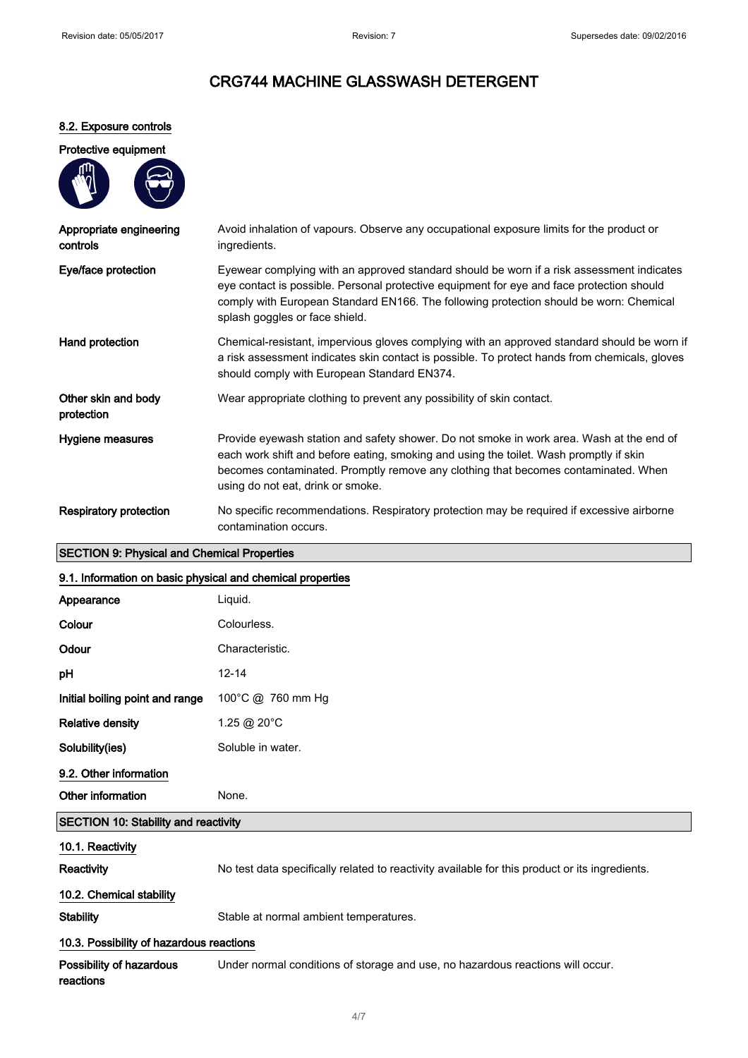## 8.2. Exposure controls

| Protective equipment                        |                                                                                                                                                                                                                                                                                                                    |
|---------------------------------------------|--------------------------------------------------------------------------------------------------------------------------------------------------------------------------------------------------------------------------------------------------------------------------------------------------------------------|
|                                             |                                                                                                                                                                                                                                                                                                                    |
| Appropriate engineering<br>controls         | Avoid inhalation of vapours. Observe any occupational exposure limits for the product or<br>ingredients.                                                                                                                                                                                                           |
| Eye/face protection                         | Eyewear complying with an approved standard should be worn if a risk assessment indicates<br>eye contact is possible. Personal protective equipment for eye and face protection should<br>comply with European Standard EN166. The following protection should be worn: Chemical<br>splash goggles or face shield. |
| Hand protection                             | Chemical-resistant, impervious gloves complying with an approved standard should be worn if<br>a risk assessment indicates skin contact is possible. To protect hands from chemicals, gloves<br>should comply with European Standard EN374.                                                                        |
| Other skin and body<br>protection           | Wear appropriate clothing to prevent any possibility of skin contact.                                                                                                                                                                                                                                              |
| Hygiene measures                            | Provide eyewash station and safety shower. Do not smoke in work area. Wash at the end of<br>each work shift and before eating, smoking and using the toilet. Wash promptly if skin<br>becomes contaminated. Promptly remove any clothing that becomes contaminated. When<br>using do not eat, drink or smoke.      |
| <b>Respiratory protection</b>               | No specific recommendations. Respiratory protection may be required if excessive airborne<br>contamination occurs.                                                                                                                                                                                                 |
| SECTION Q. Physical and Chamical Properties |                                                                                                                                                                                                                                                                                                                    |

## SECTION 9: Physical and Chemical Properties

| 9.1. Information on basic physical and chemical properties |                                                                                                |  |
|------------------------------------------------------------|------------------------------------------------------------------------------------------------|--|
| Appearance                                                 | Liquid.                                                                                        |  |
| Colour                                                     | Colourless.                                                                                    |  |
| Odour                                                      | Characteristic.                                                                                |  |
| pH                                                         | $12 - 14$                                                                                      |  |
| Initial boiling point and range                            | 100°C @ 760 mm Hg                                                                              |  |
| <b>Relative density</b>                                    | 1.25 @ 20°C                                                                                    |  |
| Solubility(ies)                                            | Soluble in water.                                                                              |  |
| 9.2. Other information                                     |                                                                                                |  |
| Other information                                          | None.                                                                                          |  |
| <b>SECTION 10: Stability and reactivity</b>                |                                                                                                |  |
| 10.1. Reactivity                                           |                                                                                                |  |
| Reactivity                                                 | No test data specifically related to reactivity available for this product or its ingredients. |  |
| 10.2. Chemical stability                                   |                                                                                                |  |
| <b>Stability</b>                                           | Stable at normal ambient temperatures.                                                         |  |
| 10.3. Possibility of hazardous reactions                   |                                                                                                |  |

Possibility of hazardous reactions Under normal conditions of storage and use, no hazardous reactions will occur.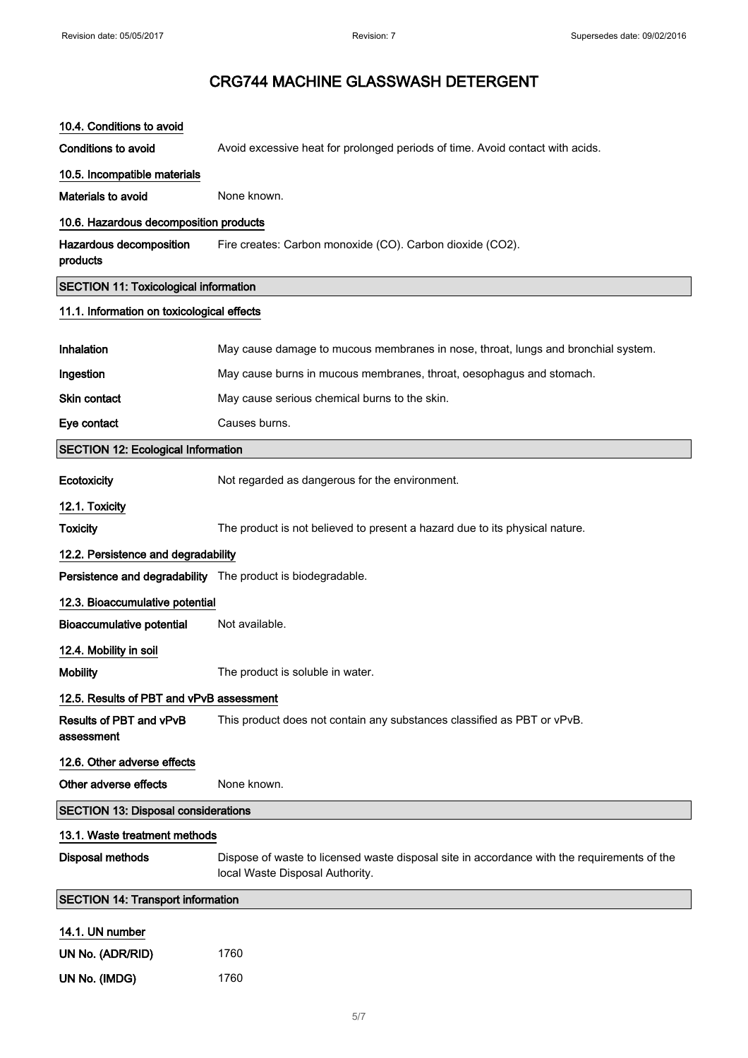| 10.4. Conditions to avoid                                   |                                                                                                                                |
|-------------------------------------------------------------|--------------------------------------------------------------------------------------------------------------------------------|
| <b>Conditions to avoid</b>                                  | Avoid excessive heat for prolonged periods of time. Avoid contact with acids.                                                  |
| 10.5. Incompatible materials                                |                                                                                                                                |
| Materials to avoid                                          | None known.                                                                                                                    |
| 10.6. Hazardous decomposition products                      |                                                                                                                                |
| Hazardous decomposition<br>products                         | Fire creates: Carbon monoxide (CO). Carbon dioxide (CO2).                                                                      |
| <b>SECTION 11: Toxicological information</b>                |                                                                                                                                |
| 11.1. Information on toxicological effects                  |                                                                                                                                |
| Inhalation                                                  | May cause damage to mucous membranes in nose, throat, lungs and bronchial system.                                              |
| Ingestion                                                   | May cause burns in mucous membranes, throat, oesophagus and stomach.                                                           |
| Skin contact                                                | May cause serious chemical burns to the skin.                                                                                  |
| Eye contact                                                 | Causes burns.                                                                                                                  |
| <b>SECTION 12: Ecological Information</b>                   |                                                                                                                                |
| Ecotoxicity                                                 | Not regarded as dangerous for the environment.                                                                                 |
| 12.1. Toxicity                                              |                                                                                                                                |
| <b>Toxicity</b>                                             | The product is not believed to present a hazard due to its physical nature.                                                    |
| 12.2. Persistence and degradability                         |                                                                                                                                |
| Persistence and degradability The product is biodegradable. |                                                                                                                                |
| 12.3. Bioaccumulative potential                             |                                                                                                                                |
| <b>Bioaccumulative potential</b>                            | Not available.                                                                                                                 |
| 12.4. Mobility in soil                                      |                                                                                                                                |
| <b>Mobility</b>                                             | The product is soluble in water.                                                                                               |
| 12.5. Results of PBT and vPvB assessment                    |                                                                                                                                |
| Results of PBT and vPvB<br>assessment                       | This product does not contain any substances classified as PBT or vPvB.                                                        |
| 12.6. Other adverse effects                                 |                                                                                                                                |
| Other adverse effects                                       | None known.                                                                                                                    |
| <b>SECTION 13: Disposal considerations</b>                  |                                                                                                                                |
| 13.1. Waste treatment methods                               |                                                                                                                                |
| <b>Disposal methods</b>                                     | Dispose of waste to licensed waste disposal site in accordance with the requirements of the<br>local Waste Disposal Authority. |
| <b>SECTION 14: Transport information</b>                    |                                                                                                                                |
| 14.1. UN number                                             |                                                                                                                                |
| UN No. (ADR/RID)                                            | 1760                                                                                                                           |
| UN No. (IMDG)                                               | 1760                                                                                                                           |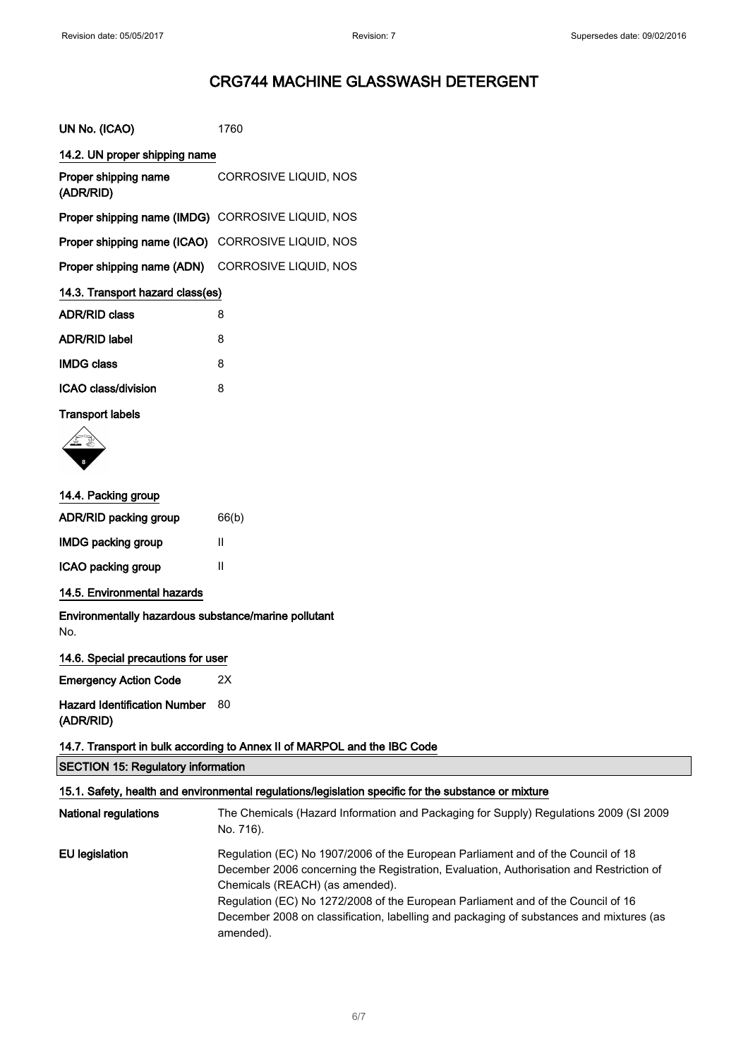| UN No. (ICAO)                                     | 1760                  |
|---------------------------------------------------|-----------------------|
| 14.2. UN proper shipping name                     |                       |
| Proper shipping name<br>(ADR/RID)                 | CORROSIVE LIQUID, NOS |
| Proper shipping name (IMDG) CORROSIVE LIQUID, NOS |                       |
| Proper shipping name (ICAO) CORROSIVE LIQUID, NOS |                       |
| Proper shipping name (ADN) CORROSIVE LIQUID, NOS  |                       |
| 14.3. Transport hazard class(es)                  |                       |
| <b>ADR/RID class</b>                              | 8                     |
| <b>ADR/RID label</b>                              | 8                     |
| <b>IMDG class</b>                                 | 8                     |
| <b>ICAO class/division</b>                        | 8                     |

## Transport labels



## 14.4. Packing group

| 66(b) |
|-------|
| Ш     |
| Ш     |
|       |

14.5. Environmental hazards

Environmentally hazardous substance/marine pollutant No.

| 14.6. Special precautions for user  |    |
|-------------------------------------|----|
| <b>Emergency Action Code</b>        | 2X |
| <b>Hazard Identification Number</b> | 80 |
| (ADR/RID)                           |    |

## 14.7. Transport in bulk according to Annex II of MARPOL and the IBC Code

SECTION 15: Regulatory information

## 15.1. Safety, health and environmental regulations/legislation specific for the substance or mixture

| <b>National regulations</b> | The Chemicals (Hazard Information and Packaging for Supply) Regulations 2009 (SI 2009<br>No. 716).                                                                                                                                                                                                                                                                                                         |
|-----------------------------|------------------------------------------------------------------------------------------------------------------------------------------------------------------------------------------------------------------------------------------------------------------------------------------------------------------------------------------------------------------------------------------------------------|
| EU legislation              | Regulation (EC) No 1907/2006 of the European Parliament and of the Council of 18<br>December 2006 concerning the Registration, Evaluation, Authorisation and Restriction of<br>Chemicals (REACH) (as amended).<br>Regulation (EC) No 1272/2008 of the European Parliament and of the Council of 16<br>December 2008 on classification, labelling and packaging of substances and mixtures (as<br>amended). |